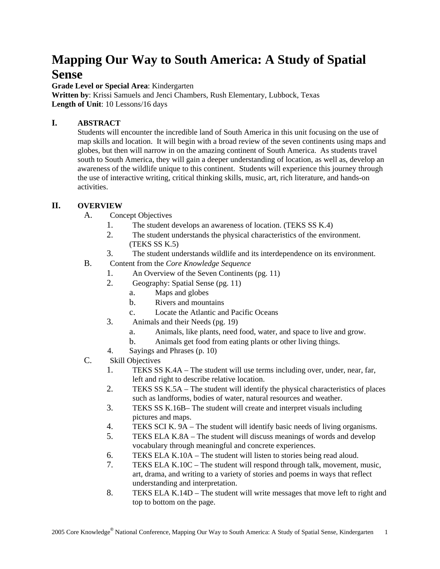## **Mapping Our Way to South America: A Study of Spatial Sense**

**Grade Level or Special Area**: Kindergarten

**Written by**: Krissi Samuels and Jenci Chambers, Rush Elementary, Lubbock, Texas **Length of Unit**: 10 Lessons/16 days

#### **I. ABSTRACT**

Students will encounter the incredible land of South America in this unit focusing on the use of map skills and location. It will begin with a broad review of the seven continents using maps and globes, but then will narrow in on the amazing continent of South America. As students travel south to South America, they will gain a deeper understanding of location, as well as, develop an awareness of the wildlife unique to this continent. Students will experience this journey through the use of interactive writing, critical thinking skills, music, art, rich literature, and hands-on activities.

#### **II. OVERVIEW**

- A. Concept Objectives
	- 1. The student develops an awareness of location. (TEKS SS K.4)
	- 2. The student understands the physical characteristics of the environment. (TEKS SS K.5)
	- 3. The student understands wildlife and its interdependence on its environment.
- B. Content from the *Core Knowledge Sequence*
	- 1. An Overview of the Seven Continents (pg. 11)
	- 2. Geography: Spatial Sense (pg. 11)
		- a. Maps and globes
		- b. Rivers and mountains
		- c. Locate the Atlantic and Pacific Oceans
	- 3. Animals and their Needs (pg. 19)
		- a. Animals, like plants, need food, water, and space to live and grow.
		- b. Animals get food from eating plants or other living things.
	- 4. Sayings and Phrases (p. 10)
- C. Skill Objectives
	- 1. TEKS SS K.4A The student will use terms including over, under, near, far, left and right to describe relative location.
	- 2. TEKS SS K.5A The student will identify the physical characteristics of places such as landforms, bodies of water, natural resources and weather.
	- 3. TEKS SS K.16B– The student will create and interpret visuals including pictures and maps.
	- 4. TEKS SCI K. 9A The student will identify basic needs of living organisms.
	- 5. TEKS ELA K.8A The student will discuss meanings of words and develop vocabulary through meaningful and concrete experiences.
	- 6. TEKS ELA K.10A The student will listen to stories being read aloud.
	- 7. TEKS ELA K.10C The student will respond through talk, movement, music, art, drama, and writing to a variety of stories and poems in ways that reflect understanding and interpretation.
	- 8. TEKS ELA K.14D The student will write messages that move left to right and top to bottom on the page.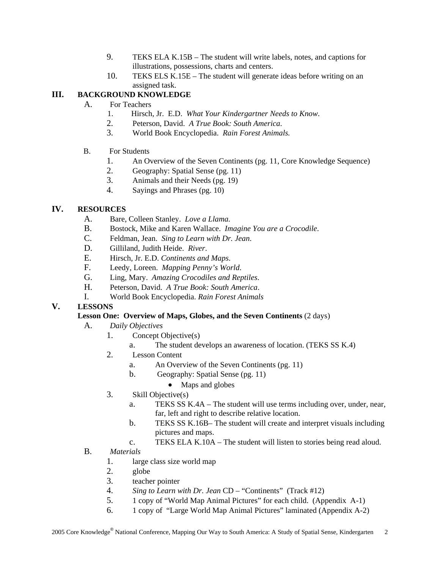- 9. TEKS ELA K.15B The student will write labels, notes, and captions for illustrations, possessions, charts and centers.
- 10. TEKS ELS K.15E The student will generate ideas before writing on an assigned task.

#### **III. BACKGROUND KNOWLEDGE**

- A. For Teachers
	- 1. Hirsch, Jr. E.D. *What Your Kindergartner Needs to Know*.
	- 2. Peterson, David. *A True Book: South America*.
	- 3. World Book Encyclopedia. *Rain Forest Animals.*
- B. For Students
	- 1. An Overview of the Seven Continents (pg. 11, Core Knowledge Sequence)
	- 2. Geography: Spatial Sense (pg. 11)
	- 3. Animals and their Needs (pg. 19)
	- 4. Sayings and Phrases (pg. 10)

#### **IV. RESOURCES**

- A. Bare, Colleen Stanley. *Love a Llama.*
- B. Bostock, Mike and Karen Wallace. *Imagine You are a Crocodile*.
- C. Feldman, Jean. *Sing to Learn with Dr. Jean*.
- D. Gilliland, Judith Heide. *River*.
- E. Hirsch, Jr. E.D. *Continents and Maps*.
- F. Leedy, Loreen. *Mapping Penny's World*.
- G. Ling, Mary. *Amazing Crocodiles and Reptiles*.
- H. Peterson, David. *A True Book: South America*.
- I. World Book Encyclopedia. *Rain Forest Animals*

#### **V. LESSONS**

#### **Lesson One: Overview of Maps, Globes, and the Seven Continents** (2 days)

- A. *Daily Objectives*
	- 1. Concept Objective(s)
		- a. The student develops an awareness of location. (TEKS SS K.4)
	- 2. Lesson Content
		- a. An Overview of the Seven Continents (pg. 11)
		- b. Geography: Spatial Sense (pg. 11)
			- Maps and globes
	- 3. Skill Objective(s)
		- a. TEKS SS K.4A The student will use terms including over, under, near, far, left and right to describe relative location.
		- b. TEKS SS K.16B– The student will create and interpret visuals including pictures and maps.
		- c. TEKS ELA K.10A The student will listen to stories being read aloud.
- B. *Materials*
	- 1. large class size world map
	- 2. globe
	- 3. teacher pointer
	- 4. *Sing to Learn with Dr. Jean* CD "Continents" (Track #12)
	- 5. 1 copy of "World Map Animal Pictures" for each child. (Appendix A-1)
	- 6. 1 copy of "Large World Map Animal Pictures" laminated (Appendix A-2)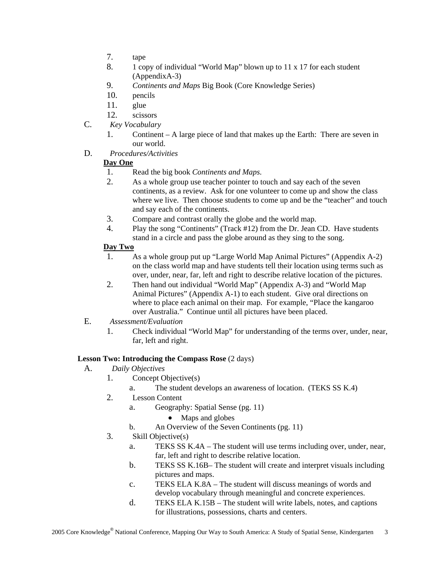- 7. tape
- 8. 1 copy of individual "World Map" blown up to 11 x 17 for each student (AppendixA-3)
- 9. *Continents and Maps* Big Book (Core Knowledge Series)
- 10. pencils
- 11. glue
- 12. scissors
- C. *Key Vocabulary*
	- 1. Continent A large piece of land that makes up the Earth: There are seven in our world.
- D. *Procedures/Activities*

#### **Day One**

- 1. Read the big book *Continents and Maps*.
- 2. As a whole group use teacher pointer to touch and say each of the seven continents, as a review. Ask for one volunteer to come up and show the class where we live. Then choose students to come up and be the "teacher" and touch and say each of the continents.
- 3. Compare and contrast orally the globe and the world map.
- 4. Play the song "Continents" (Track #12) from the Dr. Jean CD. Have students stand in a circle and pass the globe around as they sing to the song.

#### **Day Two**

- 1. As a whole group put up "Large World Map Animal Pictures" (Appendix A-2) on the class world map and have students tell their location using terms such as over, under, near, far, left and right to describe relative location of the pictures.
- 2. Then hand out individual "World Map" (Appendix A-3) and "World Map Animal Pictures" (Appendix A-1) to each student. Give oral directions on where to place each animal on their map. For example, "Place the kangaroo over Australia." Continue until all pictures have been placed.
- E. *Assessment/Evaluation*
	- 1. Check individual "World Map" for understanding of the terms over, under, near, far, left and right.

#### **Lesson Two: Introducing the Compass Rose** (2 days)

- A. *Daily Objectives*
	- 1. Concept Objective(s)
		- a. The student develops an awareness of location. (TEKS SS K.4)
	- 2. Lesson Content
		- a. Geography: Spatial Sense (pg. 11)
			- Maps and globes
		- b. An Overview of the Seven Continents (pg. 11)
	- 3. Skill Objective(s)
		- a. TEKS SS K.4A The student will use terms including over, under, near, far, left and right to describe relative location.
		- b. TEKS SS K.16B– The student will create and interpret visuals including pictures and maps.
		- c. TEKS ELA K.8A The student will discuss meanings of words and develop vocabulary through meaningful and concrete experiences.
		- d. TEKS ELA K.15B The student will write labels, notes, and captions for illustrations, possessions, charts and centers.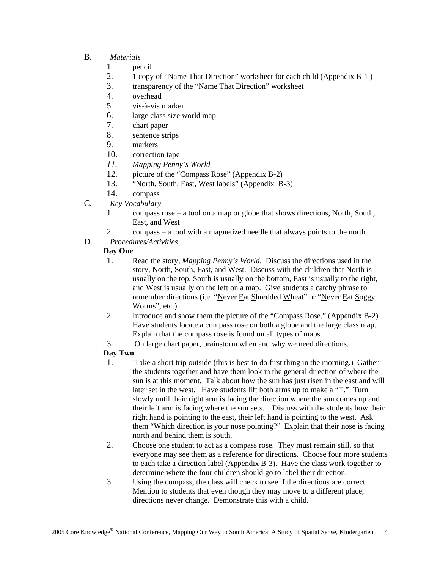#### B. *Materials*

- 1. pencil
- 2. 1 copy of "Name That Direction" worksheet for each child (Appendix B-1 )
- 3. transparency of the "Name That Direction" worksheet
- 4. overhead
- 5. vis-à-vis marker
- 6. large class size world map
- 7. chart paper
- 8. sentence strips
- 9. markers
- 10. correction tape
- *11. Mapping Penny's World*
- 12. picture of the "Compass Rose" (Appendix B-2)
- 13. "North, South, East, West labels" (Appendix B-3)
- 14. compass
- C. *Key Vocabulary*
	- 1. compass rose a tool on a map or globe that shows directions, North, South, East, and West
	- 2. compass a tool with a magnetized needle that always points to the north
- D. *Procedures/Activities*

#### **Day One**

- 1. Read the story, *Mapping Penny's World*. Discuss the directions used in the story, North, South, East, and West. Discuss with the children that North is usually on the top, South is usually on the bottom, East is usually to the right, and West is usually on the left on a map. Give students a catchy phrase to remember directions (i.e. "Never Eat Shredded Wheat" or "Never Eat Soggy Worms", etc.)
- 2. Introduce and show them the picture of the "Compass Rose." (Appendix B-2) Have students locate a compass rose on both a globe and the large class map. Explain that the compass rose is found on all types of maps.
- 3. On large chart paper, brainstorm when and why we need directions.

#### **Day Two**

- 1. Take a short trip outside (this is best to do first thing in the morning.) Gather the students together and have them look in the general direction of where the sun is at this moment. Talk about how the sun has just risen in the east and will later set in the west. Have students lift both arms up to make a "T." Turn slowly until their right arm is facing the direction where the sun comes up and their left arm is facing where the sun sets. Discuss with the students how their right hand is pointing to the east, their left hand is pointing to the west. Ask them "Which direction is your nose pointing?" Explain that their nose is facing north and behind them is south.
- 2. Choose one student to act as a compass rose. They must remain still, so that everyone may see them as a reference for directions. Choose four more students to each take a direction label (Appendix B-3). Have the class work together to determine where the four children should go to label their direction.
- 3. Using the compass, the class will check to see if the directions are correct. Mention to students that even though they may move to a different place, directions never change. Demonstrate this with a child.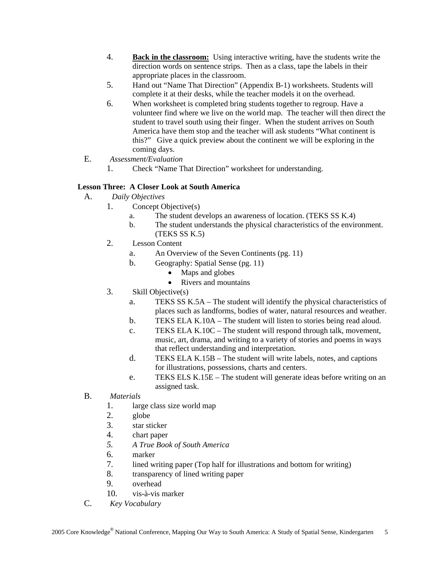- 4. **Back in the classroom:** Using interactive writing, have the students write the direction words on sentence strips. Then as a class, tape the labels in their appropriate places in the classroom.
- 5. Hand out "Name That Direction" (Appendix B-1) worksheets. Students will complete it at their desks, while the teacher models it on the overhead.
- 6. When worksheet is completed bring students together to regroup. Have a volunteer find where we live on the world map. The teacher will then direct the student to travel south using their finger. When the student arrives on South America have them stop and the teacher will ask students "What continent is this?" Give a quick preview about the continent we will be exploring in the coming days.
- E. *Assessment/Evaluation*
	- 1. Check "Name That Direction" worksheet for understanding.

#### **Lesson Three: A Closer Look at South America**

- A. *Daily Objectives*
	- 1. Concept Objective(s)
		- a. The student develops an awareness of location. (TEKS SS K.4)
		- b. The student understands the physical characteristics of the environment. (TEKS SS K.5)
	- 2. Lesson Content
		- a. An Overview of the Seven Continents (pg. 11)
		- b. Geography: Spatial Sense (pg. 11)
			- Maps and globes
			- Rivers and mountains
	- 3. Skill Objective(s)
		- a. TEKS SS K.5A The student will identify the physical characteristics of places such as landforms, bodies of water, natural resources and weather.
		- b. TEKS ELA K.10A The student will listen to stories being read aloud.
		- c. TEKS ELA K.10C The student will respond through talk, movement, music, art, drama, and writing to a variety of stories and poems in ways that reflect understanding and interpretation.
		- d. TEKS ELA K.15B The student will write labels, notes, and captions for illustrations, possessions, charts and centers.
		- e. TEKS ELS K.15E The student will generate ideas before writing on an assigned task.
- B. *Materials*
	- 1. large class size world map
	- 2. globe
	- 3. star sticker
	- 4. chart paper
	- *5. A True Book of South America*
	- 6. marker
	- 7. lined writing paper (Top half for illustrations and bottom for writing)
	- 8. transparency of lined writing paper
	- 9. overhead
	- 10. vis-à-vis marker
- C. *Key Vocabulary*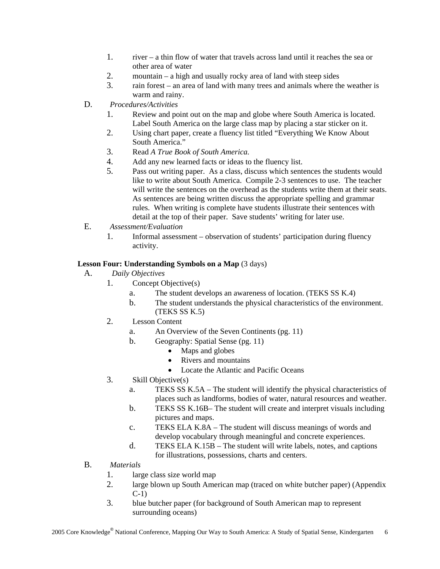- 1. river a thin flow of water that travels across land until it reaches the sea or other area of water
- 2. mountain a high and usually rocky area of land with steep sides
- 3. rain forest an area of land with many trees and animals where the weather is warm and rainy.
- D. *Procedures/Activities*
	- 1. Review and point out on the map and globe where South America is located. Label South America on the large class map by placing a star sticker on it.
	- 2. Using chart paper, create a fluency list titled "Everything We Know About South America."
	- 3. Read *A True Book of South America.*
	- 4. Add any new learned facts or ideas to the fluency list.
	- 5. Pass out writing paper. As a class, discuss which sentences the students would like to write about South America. Compile 2-3 sentences to use. The teacher will write the sentences on the overhead as the students write them at their seats. As sentences are being written discuss the appropriate spelling and grammar rules. When writing is complete have students illustrate their sentences with detail at the top of their paper. Save students' writing for later use.
- E. *Assessment/Evaluation*
	- 1. Informal assessment observation of students' participation during fluency activity.

#### Lesson Four: Understanding Symbols on a Map  $(3 \text{ days})$

- A. *Daily Objectives*
	- 1. Concept Objective(s)
		- a. The student develops an awareness of location. (TEKS SS K.4)
		- b. The student understands the physical characteristics of the environment. (TEKS SS K.5)
	- 2. Lesson Content
		- a. An Overview of the Seven Continents (pg. 11)
		- b. Geography: Spatial Sense (pg. 11)
			- Maps and globes
			- Rivers and mountains
			- Locate the Atlantic and Pacific Oceans
	- 3. Skill Objective(s)
		- a. TEKS SS K.5A The student will identify the physical characteristics of places such as landforms, bodies of water, natural resources and weather.
		- b. TEKS SS K.16B– The student will create and interpret visuals including pictures and maps.
		- c. TEKS ELA K.8A The student will discuss meanings of words and develop vocabulary through meaningful and concrete experiences.
		- d. TEKS ELA K.15B The student will write labels, notes, and captions for illustrations, possessions, charts and centers.
- B. *Materials*
	- 1. large class size world map
	- 2. large blown up South American map (traced on white butcher paper) (Appendix C-1)
	- 3. blue butcher paper (for background of South American map to represent surrounding oceans)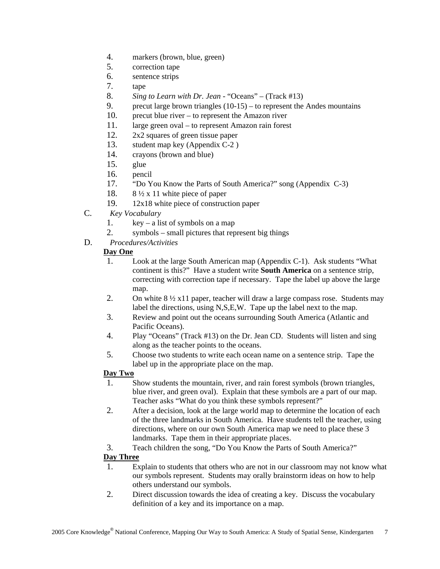- 4. markers (brown, blue, green)
- 5. correction tape
- 6. sentence strips
- 7. tape
- 8. *Sing to Learn with Dr. Jean* "Oceans" (Track #13)
- 9. precut large brown triangles  $(10-15)$  to represent the Andes mountains
- 10. precut blue river to represent the Amazon river
- 11. large green oval to represent Amazon rain forest
- 12. 2x2 squares of green tissue paper
- 13. student map key (Appendix C-2 )
- 14. crayons (brown and blue)
- 15. glue
- 16. pencil
- 17. "Do You Know the Parts of South America?" song (Appendix C-3)
- 18. 8 ½ x 11 white piece of paper
- 19. 12x18 white piece of construction paper
- C. *Key Vocabulary*
	- 1. key a list of symbols on a map
	- 2. symbols small pictures that represent big things
- D. *Procedures/Activities*

#### **Day One**

- 1. Look at the large South American map (Appendix C-1). Ask students "What continent is this?" Have a student write **South America** on a sentence strip, correcting with correction tape if necessary. Tape the label up above the large map.
- 2. On white  $8\frac{1}{2}$  x11 paper, teacher will draw a large compass rose. Students may label the directions, using N,S,E,W. Tape up the label next to the map.
- 3. Review and point out the oceans surrounding South America (Atlantic and Pacific Oceans).
- 4. Play "Oceans" (Track #13) on the Dr. Jean CD. Students will listen and sing along as the teacher points to the oceans.
- 5. Choose two students to write each ocean name on a sentence strip. Tape the label up in the appropriate place on the map.

#### **Day Two**

- 1. Show students the mountain, river, and rain forest symbols (brown triangles, blue river, and green oval). Explain that these symbols are a part of our map. Teacher asks "What do you think these symbols represent?"
- 2. After a decision, look at the large world map to determine the location of each of the three landmarks in South America. Have students tell the teacher, using directions, where on our own South America map we need to place these 3 landmarks. Tape them in their appropriate places.
- 3. Teach children the song, "Do You Know the Parts of South America?"

#### **Day Three**

- 1. Explain to students that others who are not in our classroom may not know what our symbols represent. Students may orally brainstorm ideas on how to help others understand our symbols.
- 2. Direct discussion towards the idea of creating a key. Discuss the vocabulary definition of a key and its importance on a map.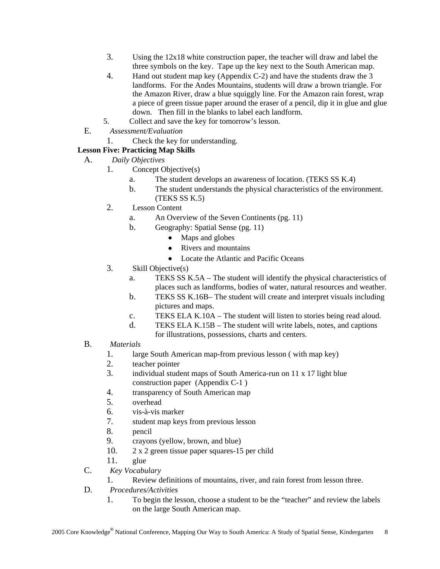- 3. Using the 12x18 white construction paper, the teacher will draw and label the three symbols on the key. Tape up the key next to the South American map.
- 4. Hand out student map key (Appendix C-2) and have the students draw the 3 landforms. For the Andes Mountains, students will draw a brown triangle. For the Amazon River, draw a blue squiggly line. For the Amazon rain forest, wrap a piece of green tissue paper around the eraser of a pencil, dip it in glue and glue down. Then fill in the blanks to label each landform.
- 5. Collect and save the key for tomorrow's lesson.
- E. *Assessment/Evaluation*
	- 1. Check the key for understanding.

#### **Lesson Five: Practicing Map Skills**

- A. *Daily Objectives*
	- 1. Concept Objective(s)
		- a. The student develops an awareness of location. (TEKS SS K.4)
		- b. The student understands the physical characteristics of the environment. (TEKS SS K.5)
	- 2. Lesson Content
		- a. An Overview of the Seven Continents (pg. 11)
		- b. Geography: Spatial Sense (pg. 11)
			- Maps and globes
			- Rivers and mountains
			- Locate the Atlantic and Pacific Oceans
	- 3. Skill Objective(s)
		- a. TEKS SS K.5A The student will identify the physical characteristics of places such as landforms, bodies of water, natural resources and weather.
		- b. TEKS SS K.16B– The student will create and interpret visuals including pictures and maps.
		- c. TEKS ELA K.10A The student will listen to stories being read aloud.
		- d. TEKS ELA K.15B The student will write labels, notes, and captions for illustrations, possessions, charts and centers.
- B. *Materials*
	- 1. large South American map-from previous lesson ( with map key)
	- 2. teacher pointer
	- 3. individual student maps of South America-run on 11 x 17 light blue construction paper (Appendix C-1 )
	- 4. transparency of South American map
	- 5. overhead
	- 6. vis-à-vis marker
	- 7. student map keys from previous lesson
	- 8. pencil
	- 9. crayons (yellow, brown, and blue)
	- 10. 2 x 2 green tissue paper squares-15 per child
	- 11. glue
- C. *Key Vocabulary*
	- 1. Review definitions of mountains, river, and rain forest from lesson three.
- D. *Procedures/Activities*
	- 1. To begin the lesson, choose a student to be the "teacher" and review the labels on the large South American map.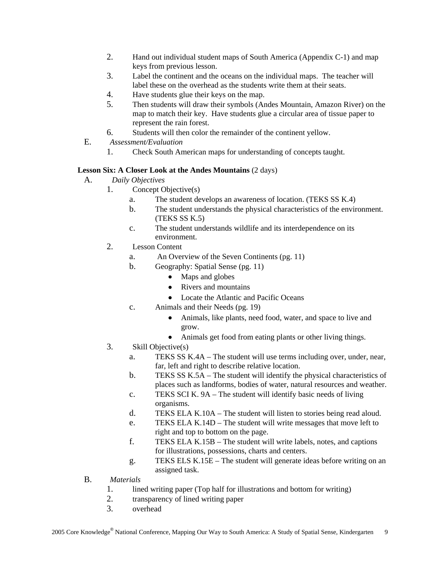- 2. Hand out individual student maps of South America (Appendix C-1) and map keys from previous lesson.
- 3. Label the continent and the oceans on the individual maps. The teacher will label these on the overhead as the students write them at their seats.
- 4. Have students glue their keys on the map.
- 5. Then students will draw their symbols (Andes Mountain, Amazon River) on the map to match their key. Have students glue a circular area of tissue paper to represent the rain forest.
- 6. Students will then color the remainder of the continent yellow.
- E. *Assessment/Evaluation*
	- 1. Check South American maps for understanding of concepts taught.

#### **Lesson Six: A Closer Look at the Andes Mountains** (2 days)

- A. *Daily Objectives*
	- 1. Concept Objective(s)
		- a. The student develops an awareness of location. (TEKS SS K.4)
		- b. The student understands the physical characteristics of the environment. (TEKS SS K.5)
		- c. The student understands wildlife and its interdependence on its environment.
	- 2. Lesson Content
		- a. An Overview of the Seven Continents (pg. 11)
		- b. Geography: Spatial Sense (pg. 11)
			- Maps and globes
			- Rivers and mountains
			- Locate the Atlantic and Pacific Oceans
		- c. Animals and their Needs (pg. 19)
			- Animals, like plants, need food, water, and space to live and grow.
			- Animals get food from eating plants or other living things.
	- 3. Skill Objective(s)
		- a. TEKS SS K.4A The student will use terms including over, under, near, far, left and right to describe relative location.
		- b. TEKS SS K.5A The student will identify the physical characteristics of places such as landforms, bodies of water, natural resources and weather.
		- c. TEKS SCI K. 9A The student will identify basic needs of living organisms.
		- d. TEKS ELA K.10A The student will listen to stories being read aloud.
		- e. TEKS ELA K.14D The student will write messages that move left to right and top to bottom on the page.
		- f. TEKS ELA K.15B The student will write labels, notes, and captions for illustrations, possessions, charts and centers.
		- g. TEKS ELS K.15E The student will generate ideas before writing on an assigned task.
- B. *Materials*
	- 1. lined writing paper (Top half for illustrations and bottom for writing)
	- 2. transparency of lined writing paper
	- 3. overhead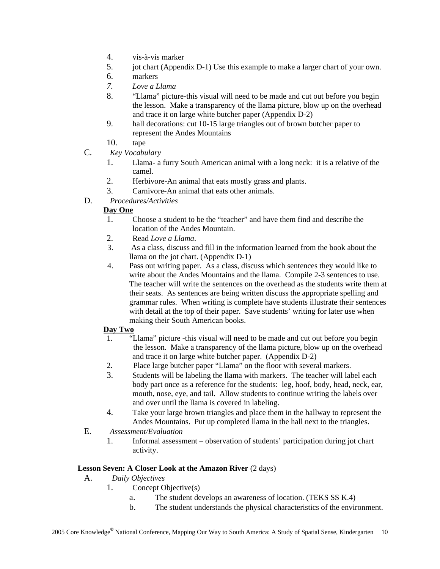- 4. vis-à-vis marker
- 5. jot chart (Appendix D-1) Use this example to make a larger chart of your own.
- 6. markers
- *7. Love a Llama*
- 8. "Llama" picture-this visual will need to be made and cut out before you begin the lesson. Make a transparency of the llama picture, blow up on the overhead and trace it on large white butcher paper (Appendix D-2)
- 9. hall decorations: cut 10-15 large triangles out of brown butcher paper to represent the Andes Mountains

10. tape

- C. *Key Vocabulary*
	- 1. Llama- a furry South American animal with a long neck: it is a relative of the camel.
	- 2. Herbivore-An animal that eats mostly grass and plants.
	- 3. Carnivore-An animal that eats other animals.
- D. *Procedures/Activities*

#### **Day One**

- 1. Choose a student to be the "teacher" and have them find and describe the location of the Andes Mountain.
- 2. Read *Love a Llama*.
- 3. As a class, discuss and fill in the information learned from the book about the llama on the jot chart. (Appendix D-1)
- 4. Pass out writing paper. As a class, discuss which sentences they would like to write about the Andes Mountains and the llama. Compile 2-3 sentences to use. The teacher will write the sentences on the overhead as the students write them at their seats. As sentences are being written discuss the appropriate spelling and grammar rules. When writing is complete have students illustrate their sentences with detail at the top of their paper. Save students' writing for later use when making their South American books.

#### **Day Two**

- 1. "Llama" picture -this visual will need to be made and cut out before you begin the lesson. Make a transparency of the llama picture, blow up on the overhead and trace it on large white butcher paper. (Appendix D-2)
- 2. Place large butcher paper "Llama" on the floor with several markers.
- 3. Students will be labeling the llama with markers. The teacher will label each body part once as a reference for the students: leg, hoof, body, head, neck, ear, mouth, nose, eye, and tail. Allow students to continue writing the labels over and over until the llama is covered in labeling.
- 4. Take your large brown triangles and place them in the hallway to represent the Andes Mountains. Put up completed llama in the hall next to the triangles.
- E. *Assessment/Evaluation*
	- 1. Informal assessment observation of students' participation during jot chart activity.

#### **Lesson Seven: A Closer Look at the Amazon River (2 days)**

- A. *Daily Objectives*
	- 1. Concept Objective(s)
		- a. The student develops an awareness of location. (TEKS SS K.4)
		- b. The student understands the physical characteristics of the environment.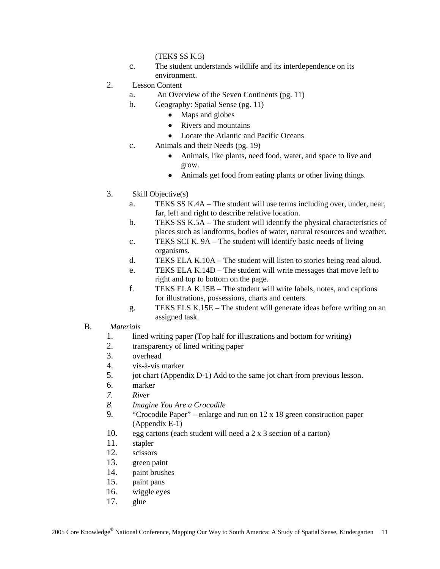(TEKS SS K.5)

- c. The student understands wildlife and its interdependence on its environment.
- 2. Lesson Content
	- a. An Overview of the Seven Continents (pg. 11)
	- b. Geography: Spatial Sense (pg. 11)
		- Maps and globes
		- Rivers and mountains
		- Locate the Atlantic and Pacific Oceans
	- c. Animals and their Needs (pg. 19)
		- Animals, like plants, need food, water, and space to live and grow.
		- Animals get food from eating plants or other living things.
- 3. Skill Objective(s)
	- a. TEKS SS K.4A The student will use terms including over, under, near, far, left and right to describe relative location.
	- b. TEKS SS K.5A The student will identify the physical characteristics of places such as landforms, bodies of water, natural resources and weather.
	- c. TEKS SCI K. 9A The student will identify basic needs of living organisms.
	- d. TEKS ELA K.10A The student will listen to stories being read aloud.
	- e. TEKS ELA K.14D The student will write messages that move left to right and top to bottom on the page.
	- f. TEKS ELA K.15B The student will write labels, notes, and captions for illustrations, possessions, charts and centers.
	- g. TEKS ELS K.15E The student will generate ideas before writing on an assigned task.

#### B. *Materials*

- 1. lined writing paper (Top half for illustrations and bottom for writing)
- 2. transparency of lined writing paper
- 3. overhead
- 4. vis-à-vis marker
- 5. jot chart (Appendix D-1) Add to the same jot chart from previous lesson.
- 6. marker
- *7. River*
- *8. Imagine You Are a Crocodile*
- 9. "Crocodile Paper" enlarge and run on 12 x 18 green construction paper (Appendix E-1)
- 10. egg cartons (each student will need a 2 x 3 section of a carton)
- 11. stapler
- 12. scissors
- 13. green paint
- 14. paint brushes
- 15. paint pans
- 16. wiggle eyes
- 17. glue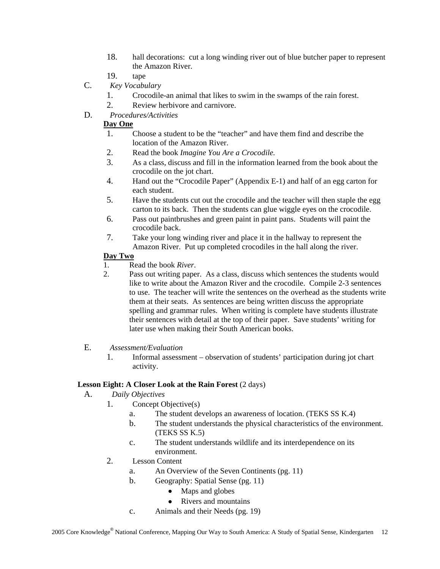- 18. hall decorations: cut a long winding river out of blue butcher paper to represent the Amazon River.
- 19. tape
- C. *Key Vocabulary*
	- 1. Crocodile-an animal that likes to swim in the swamps of the rain forest.
	- 2. Review herbivore and carnivore.
- D. *Procedures/Activities*

#### **Day One**

- 1. Choose a student to be the "teacher" and have them find and describe the location of the Amazon River.
- 2. Read the book *Imagine You Are a Crocodile.*
- 3. As a class, discuss and fill in the information learned from the book about the crocodile on the jot chart.
- 4. Hand out the "Crocodile Paper" (Appendix E-1) and half of an egg carton for each student.
- 5. Have the students cut out the crocodile and the teacher will then staple the egg carton to its back. Then the students can glue wiggle eyes on the crocodile.
- 6. Pass out paintbrushes and green paint in paint pans. Students will paint the crocodile back.
- 7. Take your long winding river and place it in the hallway to represent the Amazon River. Put up completed crocodiles in the hall along the river.

#### **Day Two**

- 1. Read the book *River*.
- 2. Pass out writing paper. As a class, discuss which sentences the students would like to write about the Amazon River and the crocodile. Compile 2-3 sentences to use. The teacher will write the sentences on the overhead as the students write them at their seats. As sentences are being written discuss the appropriate spelling and grammar rules. When writing is complete have students illustrate their sentences with detail at the top of their paper. Save students' writing for later use when making their South American books.
- E. *Assessment/Evaluation*
	- 1. Informal assessment observation of students' participation during jot chart activity.

#### **Lesson Eight: A Closer Look at the Rain Forest (2 days)**

- A. *Daily Objectives*
	- 1. Concept Objective(s)
		- a. The student develops an awareness of location. (TEKS SS K.4)
		- b. The student understands the physical characteristics of the environment. (TEKS SS K.5)
		- c. The student understands wildlife and its interdependence on its environment.
	- 2. Lesson Content
		- a. An Overview of the Seven Continents (pg. 11)
		- b. Geography: Spatial Sense (pg. 11)
			- Maps and globes
			- Rivers and mountains
		- c. Animals and their Needs (pg. 19)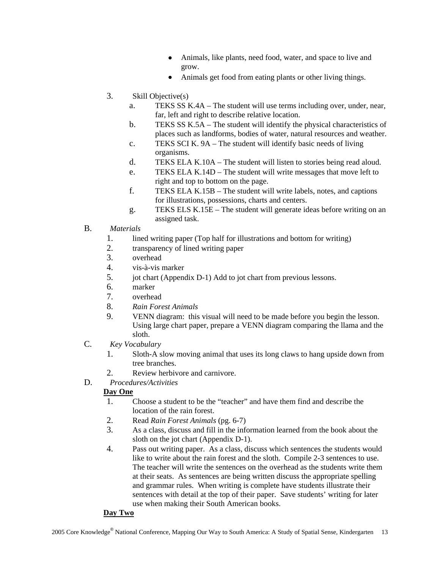- Animals, like plants, need food, water, and space to live and grow.
- Animals get food from eating plants or other living things.
- 3. Skill Objective(s)
	- a. TEKS SS K.4A The student will use terms including over, under, near, far, left and right to describe relative location.
	- b. TEKS SS K.5A The student will identify the physical characteristics of places such as landforms, bodies of water, natural resources and weather.
	- c. TEKS SCI K. 9A The student will identify basic needs of living organisms.
	- d. TEKS ELA K.10A The student will listen to stories being read aloud.
	- e. TEKS ELA K.14D The student will write messages that move left to right and top to bottom on the page.
	- f. TEKS ELA K.15B The student will write labels, notes, and captions for illustrations, possessions, charts and centers.
	- g. TEKS ELS K.15E The student will generate ideas before writing on an assigned task.
- B. *Materials*
	- 1. lined writing paper (Top half for illustrations and bottom for writing)
	- 2. transparency of lined writing paper
	- 3. overhead
	- 4. vis-à-vis marker
	- 5. jot chart (Appendix D-1) Add to jot chart from previous lessons.
	- 6. marker
	- 7. overhead
	- 8. *Rain Forest Animals*
	- 9. VENN diagram: this visual will need to be made before you begin the lesson. Using large chart paper, prepare a VENN diagram comparing the llama and the sloth.
- C. *Key Vocabulary*
	- 1. Sloth-A slow moving animal that uses its long claws to hang upside down from tree branches.
	- 2. Review herbivore and carnivore.
- D. *Procedures/Activities*

#### **Day One**

- 1. Choose a student to be the "teacher" and have them find and describe the location of the rain forest.
- 2. Read *Rain Forest Animals* (pg. 6-7)
- 3. As a class, discuss and fill in the information learned from the book about the sloth on the jot chart (Appendix D-1).
- 4. Pass out writing paper. As a class, discuss which sentences the students would like to write about the rain forest and the sloth. Compile 2-3 sentences to use. The teacher will write the sentences on the overhead as the students write them at their seats. As sentences are being written discuss the appropriate spelling and grammar rules. When writing is complete have students illustrate their sentences with detail at the top of their paper. Save students' writing for later use when making their South American books.

#### **Day Two**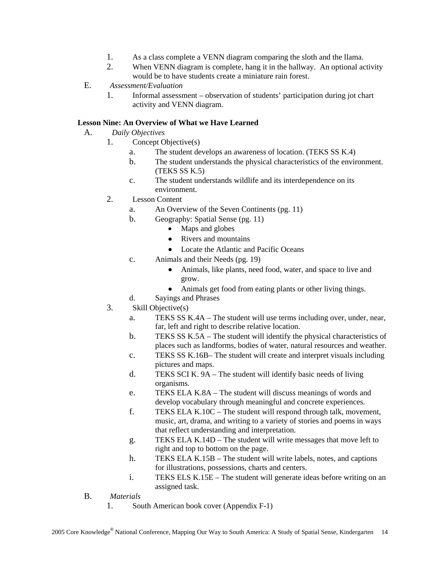- 1. As a class complete a VENN diagram comparing the sloth and the llama.
- 2. When VENN diagram is complete, hang it in the hallway. An optional activity would be to have students create a miniature rain forest.
- E. *Assessment/Evaluation*
	- 1. Informal assessment observation of students' participation during jot chart activity and VENN diagram.

#### **Lesson Nine: An Overview of What we Have Learned**

- A. *Daily Objectives*
	- 1. Concept Objective(s)
		- a. The student develops an awareness of location. (TEKS SS K.4)
		- b. The student understands the physical characteristics of the environment. (TEKS SS K.5)
		- c. The student understands wildlife and its interdependence on its environment.
	- 2. Lesson Content
		- a. An Overview of the Seven Continents (pg. 11)
		- b. Geography: Spatial Sense (pg. 11)
			- Maps and globes
			- Rivers and mountains
			- Locate the Atlantic and Pacific Oceans
		- c. Animals and their Needs (pg. 19)
			- Animals, like plants, need food, water, and space to live and grow.
			- Animals get food from eating plants or other living things.
		- d. Sayings and Phrases
	- 3. Skill Objective(s)
		- a. TEKS SS K.4A The student will use terms including over, under, near, far, left and right to describe relative location.
		- b. TEKS SS K.5A The student will identify the physical characteristics of places such as landforms, bodies of water, natural resources and weather.
		- c. TEKS SS K.16B– The student will create and interpret visuals including pictures and maps.
		- d. TEKS SCI K. 9A The student will identify basic needs of living organisms.
		- e. TEKS ELA K.8A The student will discuss meanings of words and develop vocabulary through meaningful and concrete experiences.
		- f. TEKS ELA K.10C The student will respond through talk, movement, music, art, drama, and writing to a variety of stories and poems in ways that reflect understanding and interpretation.
		- g. TEKS ELA K.14D The student will write messages that move left to right and top to bottom on the page.
		- h. TEKS ELA K.15B The student will write labels, notes, and captions for illustrations, possessions, charts and centers.
		- i. TEKS ELS K.15E The student will generate ideas before writing on an assigned task.
- B. *Materials*
	- 1. South American book cover (Appendix F-1)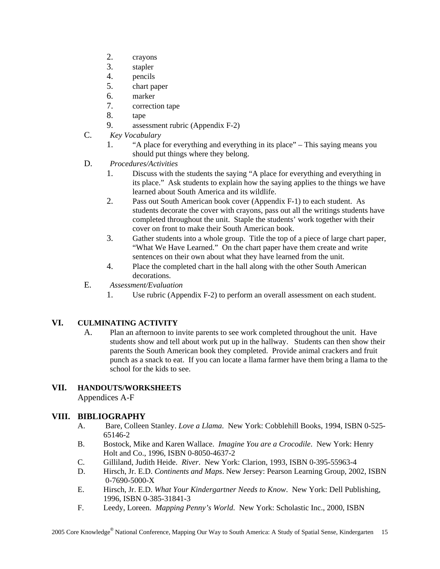- 2. crayons
- 3. stapler
- 4. pencils
- 5. chart paper
- 6. marker
- 7. correction tape
- 8. tape
- 9. assessment rubric (Appendix F-2)
- C. *Key Vocabulary*
	- 1. "A place for everything and everything in its place" This saying means you should put things where they belong.
- D. *Procedures/Activities*
	- 1. Discuss with the students the saying "A place for everything and everything in its place." Ask students to explain how the saying applies to the things we have learned about South America and its wildlife.
	- 2. Pass out South American book cover (Appendix F-1) to each student. As students decorate the cover with crayons, pass out all the writings students have completed throughout the unit. Staple the students' work together with their cover on front to make their South American book.
	- 3. Gather students into a whole group. Title the top of a piece of large chart paper, "What We Have Learned." On the chart paper have them create and write sentences on their own about what they have learned from the unit.
	- 4. Place the completed chart in the hall along with the other South American decorations.
- E. *Assessment/Evaluation*
	- 1. Use rubric (Appendix F-2) to perform an overall assessment on each student.

#### **VI. CULMINATING ACTIVITY**

A. Plan an afternoon to invite parents to see work completed throughout the unit. Have students show and tell about work put up in the hallway. Students can then show their parents the South American book they completed. Provide animal crackers and fruit punch as a snack to eat. If you can locate a llama farmer have them bring a llama to the school for the kids to see.

#### **VII. HANDOUTS/WORKSHEETS**

Appendices A-F

#### **VIII. BIBLIOGRAPHY**

- A. Bare, Colleen Stanley. *Love a Llama*. New York: Cobblehill Books, 1994, ISBN 0-525- 65146-2
- B. Bostock, Mike and Karen Wallace. *Imagine You are a Crocodile*. New York: Henry Holt and Co., 1996, ISBN 0-8050-4637-2
- C. Gilliland, Judith Heide. *River*. New York: Clarion, 1993, ISBN 0-395-55963-4
- D. Hirsch, Jr. E.D. *Continents and Maps*. New Jersey: Pearson Learning Group, 2002, ISBN 0-7690-5000-X
- E. Hirsch, Jr. E.D. *What Your Kindergartner Needs to Know*. New York: Dell Publishing, 1996, ISBN 0-385-31841-3
- F. Leedy, Loreen. *Mapping Penny's World*. New York: Scholastic Inc., 2000, ISBN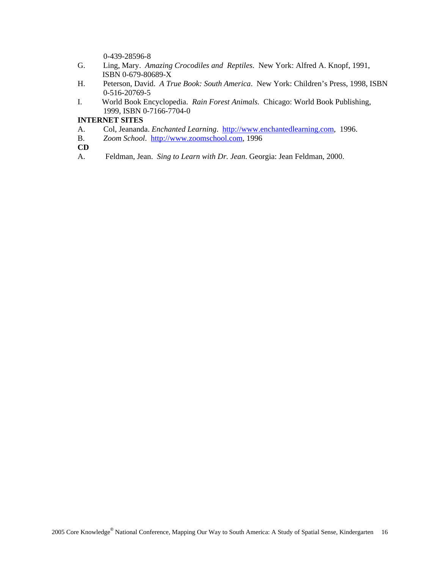0-439-28596-8

- G. Ling, Mary. *Amazing Crocodiles and Reptiles*. New York: Alfred A. Knopf, 1991, ISBN 0-679-80689-X
- H. Peterson, David. *A True Book: South America*. New York: Children's Press, 1998, ISBN 0-516-20769-5
- I. World Book Encyclopedia. *Rain Forest Animals.* Chicago: World Book Publishing, 1999, ISBN 0-7166-7704-0

#### **INTERNET SITES**

- A. Col, Jeananda. *Enchanted Learning*. http://www.enchantedlearning.com, 1996.
- B. *Zoom School*. http://www.zoomschool.com, 1996
- **CD**
- A. Feldman, Jean. *Sing to Learn with Dr. Jean*. Georgia: Jean Feldman, 2000.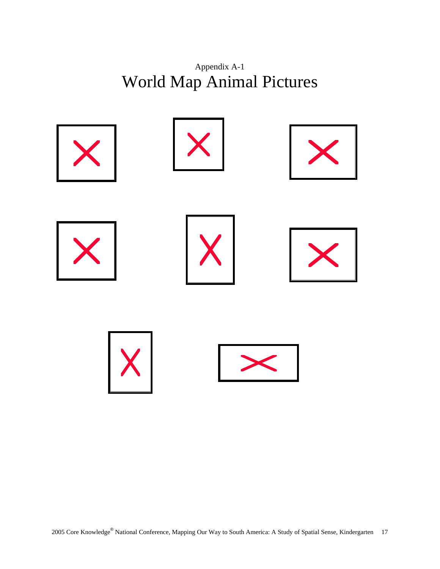

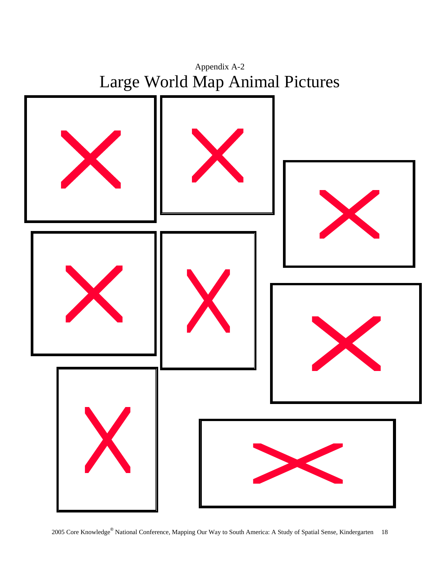

2005 Core Knowledge® National Conference, Mapping Our Way to South America: A Study of Spatial Sense, Kindergarten 18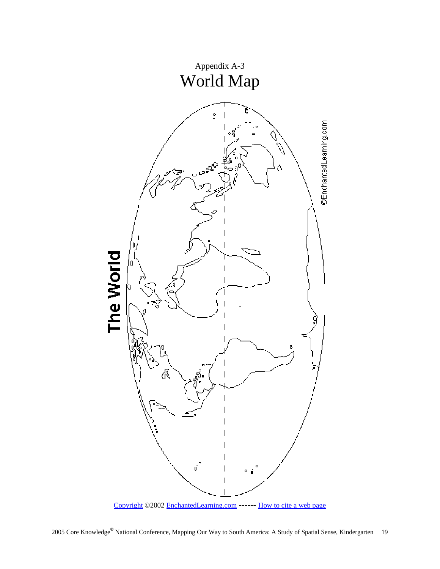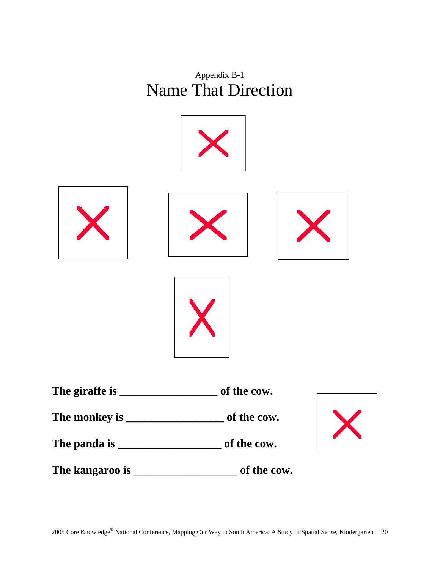



**The kangaroo is \_\_\_\_\_\_\_\_\_\_\_\_\_\_\_\_\_\_ of the cow.**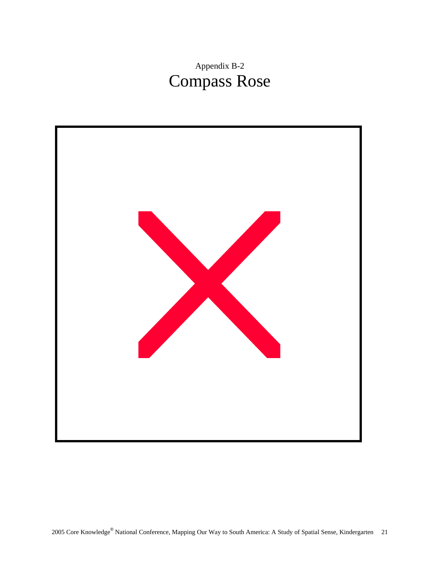# Appendix B-2 Compass Rose

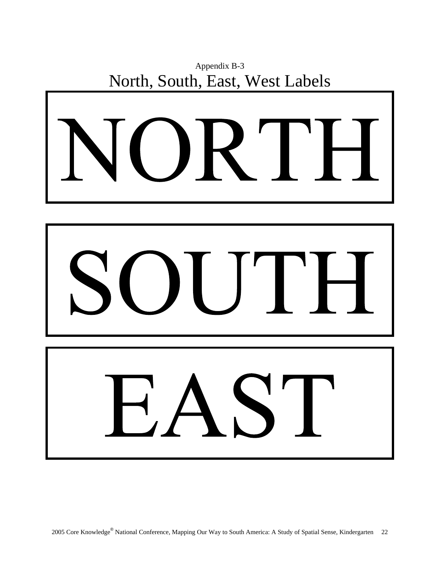



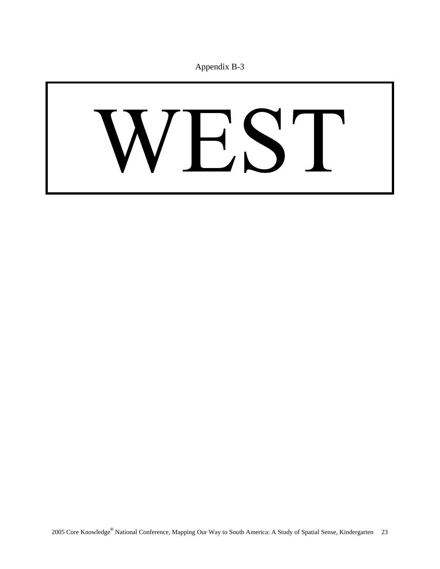# VEST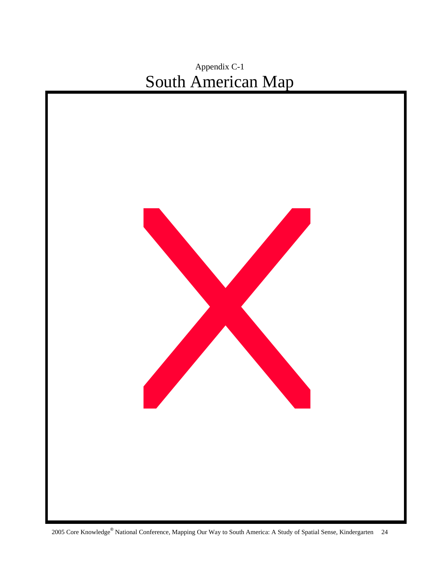# Appendix C-1 South American Map

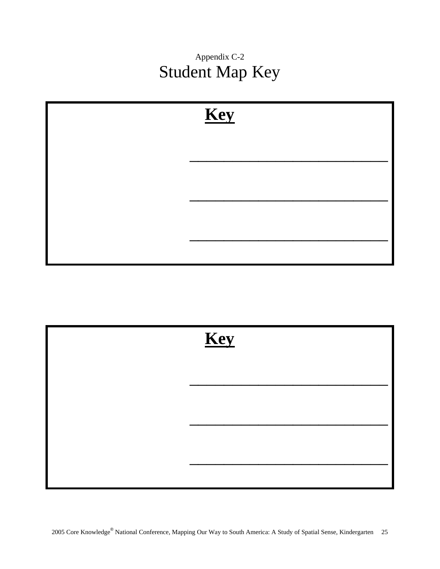Appendix C-2 Student Map Key



| Key |  |  |
|-----|--|--|
|     |  |  |
|     |  |  |
|     |  |  |
|     |  |  |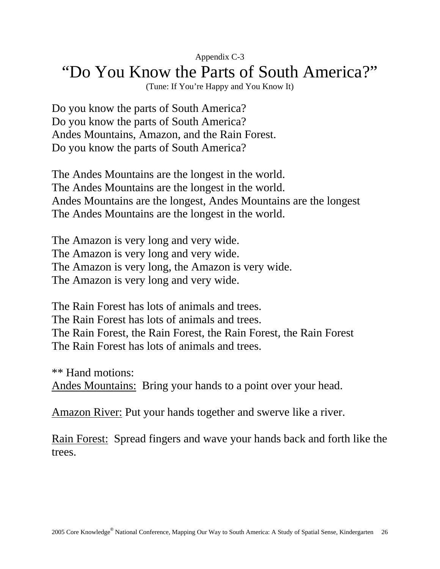## Appendix C-3 "Do You Know the Parts of South America?"

(Tune: If You're Happy and You Know It)

Do you know the parts of South America? Do you know the parts of South America? Andes Mountains, Amazon, and the Rain Forest. Do you know the parts of South America?

The Andes Mountains are the longest in the world. The Andes Mountains are the longest in the world. Andes Mountains are the longest, Andes Mountains are the longest The Andes Mountains are the longest in the world.

The Amazon is very long and very wide. The Amazon is very long and very wide. The Amazon is very long, the Amazon is very wide. The Amazon is very long and very wide.

The Rain Forest has lots of animals and trees. The Rain Forest has lots of animals and trees. The Rain Forest, the Rain Forest, the Rain Forest, the Rain Forest The Rain Forest has lots of animals and trees.

\*\* Hand motions: Andes Mountains: Bring your hands to a point over your head.

Amazon River: Put your hands together and swerve like a river.

Rain Forest: Spread fingers and wave your hands back and forth like the trees.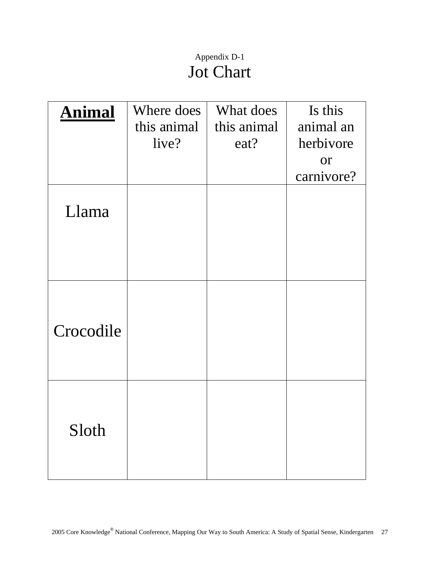# Appendix D-1 Jot Chart

| <b>Animal</b> | Where does  | What does   | Is this    |
|---------------|-------------|-------------|------------|
|               | this animal | this animal | animal an  |
|               | live?       | eat?        | herbivore  |
|               |             |             | <b>or</b>  |
|               |             |             | carnivore? |
| Llama         |             |             |            |
| Crocodile     |             |             |            |
| Sloth         |             |             |            |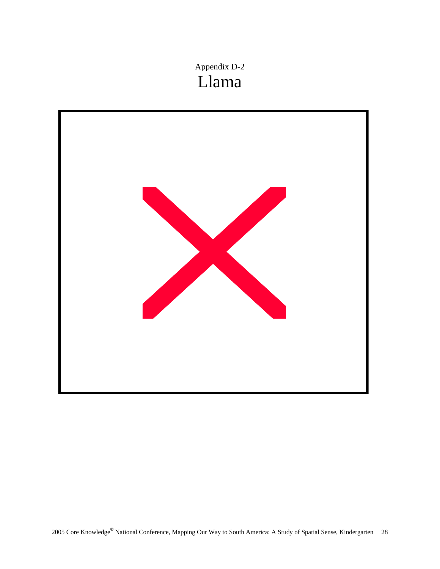Appendix D-2 Llama

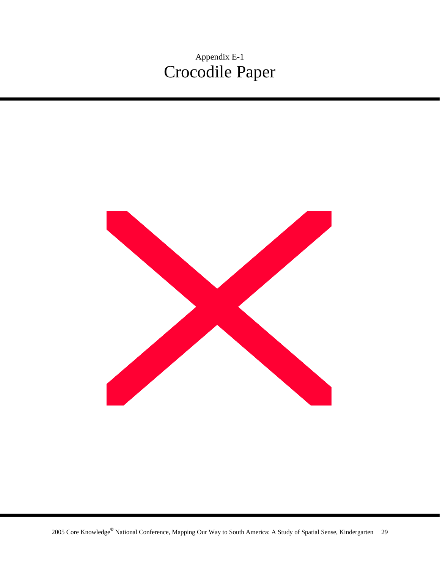Appendix E-1 Crocodile Paper

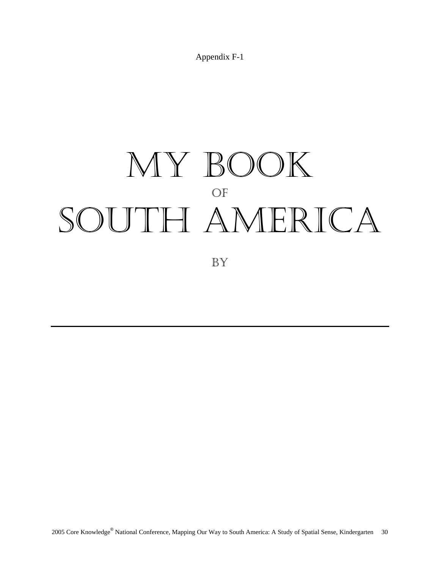Appendix F-1

# MY BOOK OF SOUTH AMERICA

BY

2005 Core Knowledge® National Conference, Mapping Our Way to South America: A Study of Spatial Sense, Kindergarten 30